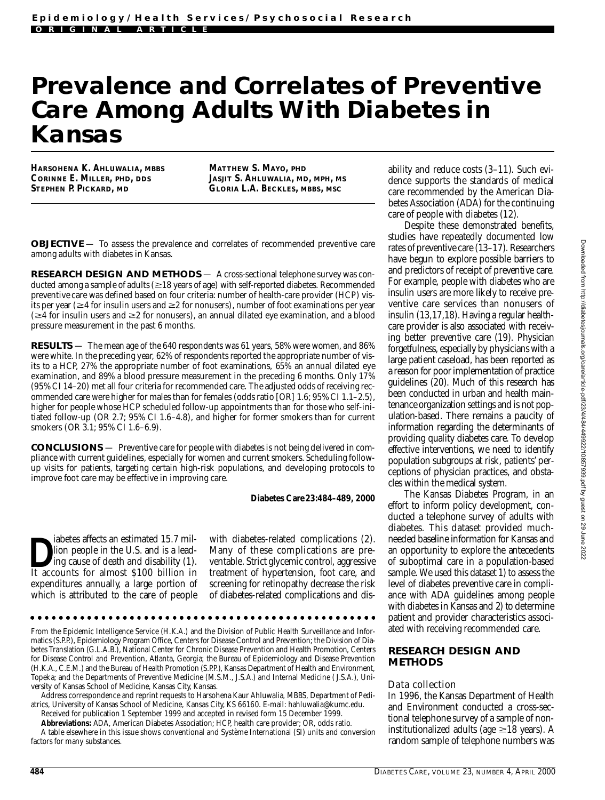# **Prevalence and Correlates of Preventive Care Among Adults With Diabetes in Kansas**

**HARSOHENA K. AHLUWALIA, MBBS CORINNE E. MILLER, PHD, DDS STEPHEN P. PICKARD, MD**

**MATTHEW S. MAYO, PHD JASJIT S. AHLUWALIA, MD, MPH, MS GLORIA L.A. BECKLES, MBBS, MSC**

**OBJECTIVE** — To assess the prevalence and correlates of recommended preventive care among adults with diabetes in Kansas.

**RESEARCH DESIGN AND METHODS**— A cross-sectional telephone survey was conducted among a sample of adults  $(\geq 18$  years of age) with self-reported diabetes. Recommended p reventive care was defined based on four criteria: number of health-care provider (HCP) visits per year ( $\geq 4$  for insulin users and  $\geq 2$  for nonusers), number of foot examinations per year  $\geq 4$  for insulin users and  $\geq 2$  for nonusers), an annual dilated eye examination, and a blood pressure measurement in the past 6 months.

**R E S U LT S** — The mean age of the 640 respondents was 61 years, 58% were women, and 86% were white. In the preceding year, 62% of respondents reported the appropriate number of visits to a HCP, 27% the appropriate number of foot examinations, 65% an annual dilated eye examination, and 89% a blood pressure measurement in the preceding 6 months. Only 17% (95% CI 14–20) met all four criteria for recommended care. The adjusted odds of receiving recommended care were higher for males than for females (odds ratio [OR] 1.6; 95% CI 1.1–2.5), higher for people whose HCP scheduled follow-up appointments than for those who self-initiated follow-up (OR 2.7;  $95\%$  CI 1.6–4.8), and higher for former smokers than for current smokers (OR 3.1; 95% CI 1.6–6.9).

CONCLUSIONS — Preventive care for people with diabetes is not being delivered in compliance with current guidelines, especially for women and current smokers. Scheduling followup visits for patients, targeting certain high-risk populations, and developing protocols to improve foot care may be effective in improving care.

*Diabetes Care* **2 3 :4 8 4–489, 2000**

abetes affects an estimated 15.7 million people in the U.S. and is a leading cause of death and disability (1).<br>It accounts for almost \$100 billion in iabetes affects an estimated 15.7 million people in the U.S. and is a leading cause of death and disability (1). expenditures annually, a large portion of which is attributed to the care of people

with diabetes-related complications (2). Many of these complications are preventable. Strict glycemic control, aggressive treatment of hypertension, foot care, and screening for retinopathy decrease the risk of diabetes-related complications and dis-

From the Epidemic Intelligence Service (H.K.A.) and the Division of Public Health Surveillance and Informatics (S.P.P.), Epidemiology Program Office, Centers for Disease Control and Prevention; the Division of Diabetes Translation (G.L.A.B.), National Center for Chronic Disease Prevention and Health Promotion, Centers for Disease Control and Prevention, Atlanta, Georgia; the Bureau of Epidemiology and Disease Prevention (H.K.A., C.E.M.) and the Bureau of Health Promotion (S.P.P.), Kansas Department of Health and Environment, Topeka; and the Departments of Preventive Medicine (M.S.M., J.S.A.) and Internal Medicine ( J.S.A.), University of Kansas School of Medicine, Kansas City, Kansas.

Address correspondence and reprint requests to Harsohena Kaur Ahluwalia, MBBS, Department of Pediatrics, University of Kansas School of Medicine, Kansas City, KS 66160. E-mail: hahluwalia@kumc.edu.

Received for publication 1 September 1999 and accepted in revised form 15 December 1999.

**A b b re v i a t i o n s :** ADA, American Diabetes Association; HCP, health care provider; OR, odds ratio. A table elsewhere in this issue shows conventional and Système International (SI) units and conversion factors for many substances.

ability and reduce costs (3–11). Such evidence supports the standards of medical care recommended by the American Diabetes Association (ADA) for the continuing care of people with diabetes (12).

Despite these demonstrated benefits, studies have repeatedly documented low rates of preventive care  $(13-17)$ . Researchers have begun to explore possible barriers to and predictors of receipt of preventive care . For example, people with diabetes who are insulin users are more likely to receive preventive care services than nonusers of insulin (13,17,18). Having a regular healthcare provider is also associated with receiving better preventive care (19). Physician forgetfulness, especially by physicians with a large patient caseload, has been reported as a reason for poor implementation of practice guidelines (20). Much of this research has been conducted in urban and health maintenance organization settings and is not population-based. There remains a paucity of information regarding the determinants of p roviding quality diabetes care. To develop effective interventions, we need to identify population subgroups at risk, patients' perceptions of physician practices, and obstacles within the medical system.

The Kansas Diabetes Program, in an effort to inform policy development, conducted a telephone survey of adults with diabetes. This dataset provided muchneeded baseline information for Kansas and an opportunity to explore the antecedents of suboptimal care in a population-based sample. We used this dataset *1*) to assess the level of diabetes preventive care in compliance with ADA guidelines among people with diabetes in Kansas and 2) to determine patient and provider characteristics associated with receiving recommended care .

#### **RESEARCH DESIGN AND METHODS**

#### Data collection

In 1996, the Kansas Department of Health and Environment conducted a cross-sectional telephone survey of a sample of noninstitutionalized adults (age  $\geq$ 18 years). A random sample of telephone numbers was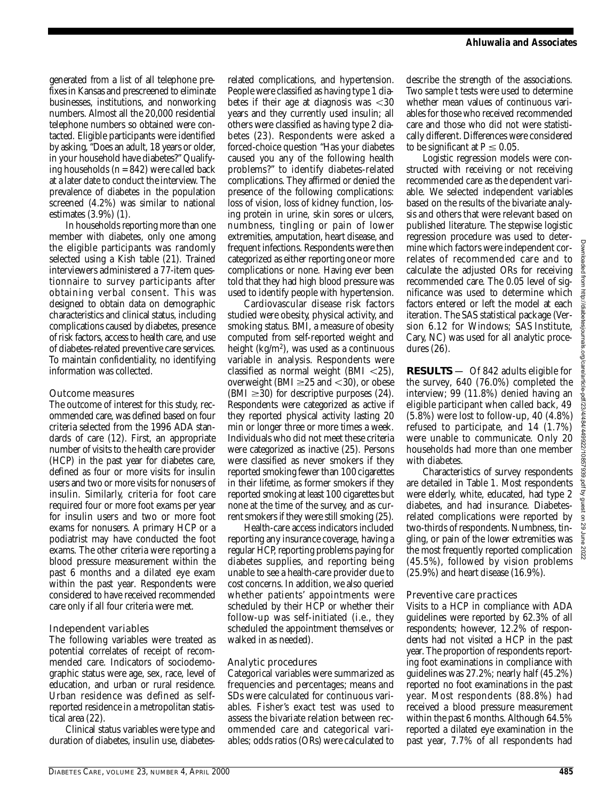generated from a list of all telephone prefixes in Kansas and prescreened to eliminate businesses, institutions, and nonworking numbers. Almost all the 20,000 residential telephone numbers so obtained were contacted. Eligible participants were identified by asking, "Does an adult, 18 years or older, in your household have diabetes?" Qualifying households (*n* = 842) were called back at a later date to conduct the interview. The p revalence of diabetes in the population screened  $(4.2%)$  was similar to national estimates  $(3.9%)$   $(1)$ .

In households reporting more than one member with diabetes, only one among the eligible participants was randomly selected using a Kish table (21). Trained interviewers administered a 77-item questionnaire to survey participants after obtaining verbal consent. This was designed to obtain data on demographic characteristics and clinical status, including complications caused by diabetes, presence of risk factors, access to health care, and use of diabetes-related preventive care services. To maintain confidentiality, no identifying information was collected.

#### Outcome measures

The outcome of interest for this study, recommended care, was defined based on four criteria selected from the 1996 ADA standards of care  $(12)$ . First, an appropriate number of visits to the health care provider (HCP) in the past year for diabetes care , defined as four or more visits for insulin users and two or more visits for nonusers of insulin. Similarly, criteria for foot care required four or more foot exams per year for insulin users and two or more foot exams for nonusers. A primary HCP or a podiatrist may have conducted the foot exams. The other criteria were reporting a blood pressure measurement within the past 6 months and a dilated eye exam within the past year. Respondents were considered to have received recommended care only if all four criteria were met.

# Independent variables

The following variables were treated as potential correlates of receipt of recommended care. Indicators of sociodemographic status were age, sex, race, level of education, and urban or rural residence. Urban residence was defined as selfreported residence in a metropolitan statistical area (22).

Clinical status variables were type and duration of diabetes, insulin use, diabetesrelated complications, and hypertension. People were classified as having type 1 diabetes if their age at diagnosis was  $\leq 30$ years and they currently used insulin; all others were classified as having type 2 diabetes (23). Respondents were asked a forced-choice question "Has your diabetes caused you any of the following health problems?" to identify diabetes-related complications. They affirmed or denied the presence of the following complications: loss of vision, loss of kidney function, losing protein in urine, skin sores or ulcers, numbness, tingling or pain of lower extremities, amputation, heart disease, and frequent infections. Respondents were then categorized as either reporting one or more complications or none. Having ever been told that they had high blood pressure was used to identify people with hypertension.

Cardiovascular disease risk factors studied were obesity, physical activity, and smoking status. BMI, a measure of obesity computed from self-reported weight and height (kg/m²), was used as a continuous variable in analysis. Respondents were classified as normal weight (BMI  $\langle 25 \rangle$ , overweight (BMI  $\geq$  25 and  $\lt$  30), or obese ( $\text{BMI} \geq 30$ ) for descriptive purposes (24). Respondents were categorized as active if they reported physical activity lasting 20 min or longer three or more times a week. Individuals who did not meet these criteria were categorized as inactive  $(25)$ . Persons were classified as never smokers if they reported smoking fewer than 100 cigarettes in their lifetime, as former smokers if they reported smoking at least 100 cigarettes but none at the time of the survey, and as current smokers if they were still smoking (25).

Health-care access indicators included reporting any insurance coverage, having a regular HCP, reporting problems paying for diabetes supplies, and reporting being unable to see a health-care provider due to cost concerns. In addition, we also queried whether patients' appointments were scheduled by their HCP or whether their follow-up was self-initiated (i.e., they scheduled the appointment themselves or walked in as needed).

# Analytic procedures

Categorical variables were summarized as frequencies and percentages; means and SDs were calculated for continuous variables. Fisher's exact test was used to assess the bivariate relation between recommended care and categorical variables; odds ratios (ORs) were calculated to

describe the strength of the associations. Two sample t tests were used to determine whether mean values of continuous variables for those who received recommended care and those who did not were statistically different. Differences were considered to be significant at  $P \leq 0.05$ .

Logistic regression models were constructed with receiving or not receiving recommended care as the dependent variable. We selected independent variables based on the results of the bivariate analysis and others that were relevant based on published literature. The stepwise logistic regression procedure was used to determine which factors were independent correlates of recommended care and to calculate the adjusted ORs for receiving recommended care. The 0.05 level of significance was used to determine which factors entered or left the model at each iteration. The SAS statistical package (Version 6.12 for Windows; SAS Institute, Cary, NC) was used for all analytic procedures  $(26)$ .

RESULTS  $-$  Of 842 adults eligible for the survey, 640 (76.0%) completed the interview; 99 (11.8%) denied having an eligible participant when called back, 49 (5.8%) were lost to follow-up, 40 (4.8%) refused to participate, and 14 (1.7%) were unable to communicate. Only 20 households had more than one member with diabetes.

Characteristics of survey respondents are detailed in Table 1. Most respondents were elderly, white, educated, had type 2 diabetes, and had insurance. Diabetesrelated complications were reported by two-thirds of respondents. Numbness, tingling, or pain of the lower extremities was the most frequently reported complication  $(45.5\%)$ , followed by vision problems (25.9%) and heart disease (16.9%).

# Preventive care practices

Visits to a HCP in compliance with ADA guidelines were reported by 62.3% of all respondents; however, 12.2% of respondents had not visited a HCP in the past year. The proportion of respondents reporting foot examinations in compliance with guidelines was 27.2%; nearly half (45.2%) reported no foot examinations in the past year. Most respondents (88.8%) had received a blood pressure measurement within the past 6 months. Although 64.5% reported a dilated eye examination in the past year, 7.7% of all respondents had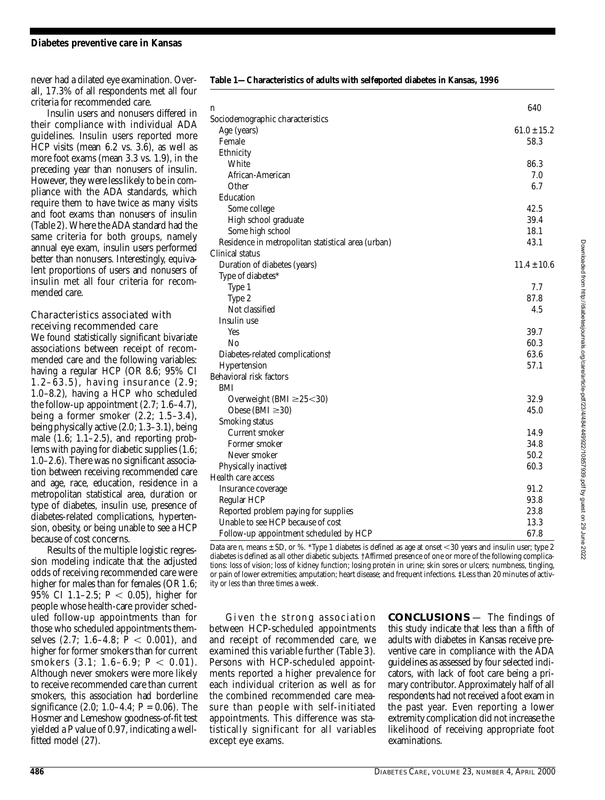never had a dilated eye examination. Overall, 17.3% of all respondents met all four criteria for recommended care .

Insulin users and nonusers differed in their compliance with individual ADA guidelines. Insulin users reported more HCP visits (mean  $6.2$  vs.  $3.\overline{6}$ ), as well as more foot exams (mean 3.3 vs. 1.9), in the p receding year than nonusers of insulin. However, they were less likely to be in compliance with the ADA standards, which require them to have twice as many visits and foot exams than nonusers of insulin ( Table 2). Where the ADA standard had the same criteria for both groups, namely annual eye exam, insulin users performed better than nonusers. Interestingly, equivalent proportions of users and nonusers of insulin met all four criteria for recommended care.

Characteristics associated with receiving recommended care We found statistically significant bivariate associations between receipt of recommended care and the following variables: having a regular HCP (OR 8.6; 95% CI 1.2–63.5), having insurance (2.9; 1.0–8.2), having a HCP who scheduled the follow-up appointment (2.7; 1.6–4.7), being a former smoker (2.2; 1.5–3.4), being physically active (2.0; 1.3–3.1), being male  $(1.6; 1.1–2.5)$ , and reporting problems with paying for diabetic supplies (1.6; 1.0–2.6). There was no significant association between receiving recommended care and age, race, education, residence in a metropolitan statistical area, duration or type of diabetes, insulin use, presence of diabetes-related complications, hypertension, obesity, or being unable to see a HCP because of cost concerns.

Results of the multiple logistic regression modeling indicate that the adjusted odds of receiving recommended care were higher for males than for females (OR 1.6; 95% CI 1.1–2.5;  $P < 0.05$ ), higher for people whose health-care provider scheduled follow-up appointments than for those who scheduled appointments themselves  $(2.7; 1.6-4.8; P < 0.001)$ , and higher for former smokers than for current smokers  $(3.1; 1.6-6.9; P < 0.01)$ . Although never smokers were more likely to receive recommended care than current smokers, this association had borderline significance (2.0; 1.0–4.4; *P* = 0.06). The Hosmer and Lemeshow goodness-of-fit test yielded a *P* value of 0.97, indicating a wellfitted model (27).

| Table 1-Characteristics of adults with selfeported diabetes in Kansas, 1996 |  |
|-----------------------------------------------------------------------------|--|
|-----------------------------------------------------------------------------|--|

| n                                                  | 640             |
|----------------------------------------------------|-----------------|
| Sociodemographic characteristics                   |                 |
| Age (years)                                        | $61.0 \pm 15.2$ |
| Female                                             | 58.3            |
| Ethnicity                                          |                 |
| White                                              | 86.3            |
| African-American                                   | 7.0             |
| Other                                              | 6.7             |
| Education                                          |                 |
| Some college                                       | 42.5            |
| High school graduate                               | 39.4            |
| Some high school                                   | 18.1            |
| Residence in metropolitan statistical area (urban) | 43.1            |
| Clinical status                                    |                 |
| Duration of diabetes (years)                       | $11.4 \pm 10.6$ |
| Type of diabetes*                                  |                 |
| Type 1                                             | 7.7             |
| Type 2                                             | 87.8            |
| Not classified                                     | 4.5             |
| Insulin use                                        |                 |
| Yes                                                | 39.7            |
| No                                                 | 60.3            |
| Diabetes-related complications <sup>†</sup>        | 63.6            |
| Hypertension                                       | 57.1            |
| Behavioral risk factors                            |                 |
| BMI                                                |                 |
| Overweight (BMI $\geq$ 25<30)                      | 32.9            |
| Obese (BMI $\geq$ 30)                              | 45.0            |
| Smoking status                                     |                 |
| Current smoker                                     | 14.9            |
| Former smoker                                      | 34.8            |
| Never smoker                                       | 50.2            |
| Physically inactive‡                               | 60.3            |
| Health care access                                 |                 |
| Insurance coverage                                 | 91.2            |
| <b>Regular HCP</b>                                 | 93.8            |
| Reported problem paying for supplies               | 23.8            |
| Unable to see HCP because of cost                  | 13.3            |
| Follow-up appointment scheduled by HCP             | 67.8            |

Data are *n*, means  $\pm$  SD, or %. \*Type 1 diabetes is defined as age at onset < 30 years and insulin user; type 2 diabetes is defined as all other diabetic subjects. †Affirmed presence of one or more of the following complications: loss of vision; loss of kidney function; losing protein in urine; skin sores or ulcers; numbness, tingling, or pain of lower extremities; amputation; heart disease; and frequent infections. ‡Less than 20 minutes of activity or less than three times a week.

Gi ven the s trong association between HCP-scheduled appointments and receipt of recommended care, we examined this variable further (Table 3). Persons with HCP-scheduled appointments reported a higher prevalence for each individual criterion as well as for the combined recommended care measure than people with self-initiated appointments. This difference was statistically significant for all variables except eye exams.

**CONCLUSIONS** — The findings of this study indicate that less than a fifth of adults with diabetes in Kansas receive preventive care in compliance with the ADA guidelines as assessed by four selected indicators, with lack of foot care being a primary contributor. Approximately half of all respondents had not received a foot exam in the past year. Even reporting a lower extremity complication did not increase the likelihood of receiving appropriate foot examinations.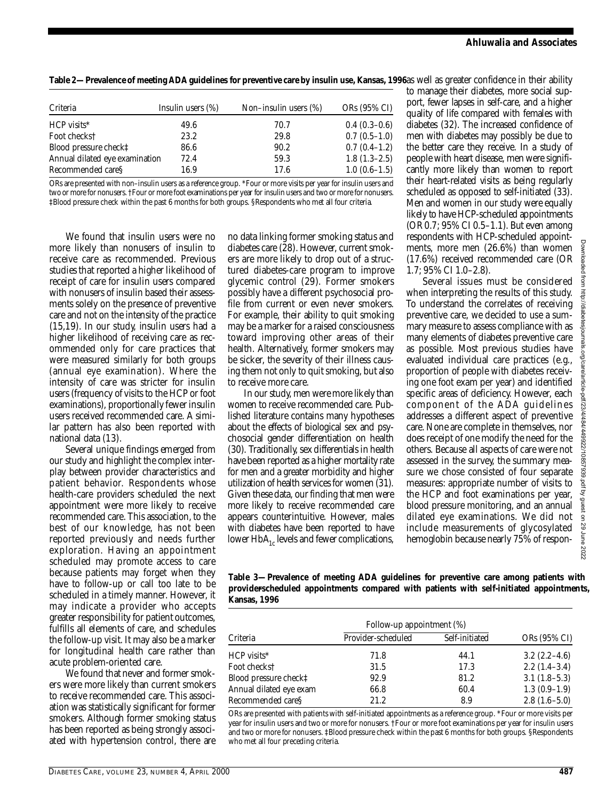| Criteria                       | Insulin users $(\%)$ | Non-insulin users (%) | ORs (95% CI)   |
|--------------------------------|----------------------|-----------------------|----------------|
| $HCP$ visits*                  | 49.6                 | 70.7                  | $0.4(0.3-0.6)$ |
| Foot checks <sup>†</sup>       | 23.2                 | 29.8                  | $0.7(0.5-1.0)$ |
| Blood pressure check‡          | 86.6                 | 90.2                  | $0.7(0.4-1.2)$ |
| Annual dilated eye examination | 72.4                 | 59.3                  | $1.8(1.3-2.5)$ |
| Recommended care <sub>S</sub>  | 16.9                 | 17.6                  | $1.0(0.6-1.5)$ |

Table 2—Prevalence of meeting ADA guidelines for preventive care by insulin use, Kansas, 1996as well as greater confidence in their ability

ORs are presented with non-insulin users as a reference group. \*Four or more visits per year for insulin users and two or more for nonusers. †Four or more foot examinations per year for insulin users and two or more for nonusers. ‡Blood pressure check within the past 6 months for both groups. §Respondents who met all four criteria.

We found that insulin users were no more likely than nonusers of insulin to receive care as recommended. Previous studies that reported a higher likelihood of receipt of care for insulin users compared with nonusers of insulin based their assessments solely on the presence of preventive care and not on the intensity of the practice (15,19). In our study, insulin users had a higher likelihood of receiving care as recommended only for care practices that were measured similarly for both groups (annual eye examination). Where the intensity of care was stricter for insulin users (frequency of visits to the HCP or foot examinations), proportionally fewer insulin users received recommended care. A similar pattern has also been reported with national data (13).

Several unique findings emerged from our study and highlight the complex interplay between provider characteristics and patient behavior. Respondents whose health-care providers scheduled the next appointment were more likely to receive recommended care. This association, to the best of our knowledge, has not been reported previously and needs further exploration. Having an appointment scheduled may promote access to care because patients may forget when they have to follow-up or call too late to be scheduled in a timely manner. However, it may indicate a provider who accepts g reater responsibility for patient outcomes, fulfills all elements of care, and schedules the follow-up visit. It may also be a marker for longitudinal health care rather than acute problem-oriented care.

We found that never and former smokers were more likely than current smokers to receive recommended care. This association was statistically significant for former smokers. Although former smoking status has been reported as being strongly associated with hypertension control, there are

no data linking former smoking status and diabetes care (28). However, current smokers are more likely to drop out of a structured diabetes-care program to improve glycemic control (29). Former smokers possibly have a different psychosocial profile from current or even never smokers. For example, their ability to quit smoking may be a marker for a raised consciousness toward improving other areas of their health. Alternatively, former smokers may be sicker, the severity of their illness causing them not only to quit smoking, but also to receive more care.

In our study, men were more likely than women to receive recommended care. Published literature contains many hypotheses about the effects of biological sex and psychosocial gender differentiation on health (30). Traditionally, sex differentials in health have been reported as a higher mortality rate for men and a greater morbidity and higher utilization of health services for women (31). Given these data, our finding that men were more likely to receive recommended care appears counterintuitive. However, males with diabetes have been reported to have lower  $HbA_{1c}$  levels and fewer complications,

to manage their diabetes, more social support, fewer lapses in self-care, and a higher quality of life compared with females with diabetes (32). The increased confidence of men with diabetes may possibly be due to the better care they receive. In a study of people with heart disease, men were significantly more likely than women to report their heart-related visits as being regularly scheduled as opposed to self-initiated (33). Men and women in our study were equally likely to have HCP-scheduled appointments (OR 0.7; 95% CI 0.5–1.1). But even among respondents with HCP-scheduled appointments, more men (26.6%) than women (17.6%) received recommended care (OR 1.7; 95% CI 1.0–2.8).

Several issues must be considered when interpreting the results of this study. To understand the correlates of receiving preventive care, we decided to use a summary measure to assess compliance with as many elements of diabetes preventive care as possible. Most previous studies have evaluated individual care practices (e.g., proportion of people with diabetes receiving one foot exam per year) and identified specific areas of deficiency. However, each component of the ADA guidelines addresses a different aspect of preventive care. None are complete in themselves, nor does receipt of one modify the need for the others. Because all aspects of care were not assessed in the survey, the summary measure we chose consisted of four separate measures: appropriate number of visits to the HCP and foot examinations per year, blood pressure monitoring, and an annual dilated eye examinations. We did not include measurements of glycosylated hemoglobin because nearly 75% of respon-

Table 3—Prevalence of meeting ADA guidelines for preventive care among patients with *p ro v i d e r-scheduled appointments compared with patients with self-initiated appointments, Kansas, 1996*

|                                   | Follow-up appointment (%) |                |                |
|-----------------------------------|---------------------------|----------------|----------------|
| Criteria                          | Provider-scheduled        | Self-initiated | ORs (95% CI)   |
| $HCP$ visits*                     | 71.8                      | 44.1           | $3.2(2.2-4.6)$ |
| Foot checks <sup>†</sup>          | 31.5                      | 17.3           | $2.2(1.4-3.4)$ |
| Blood pressure check <sup>+</sup> | 92.9                      | 81.2           | $3.1(1.8-5.3)$ |
| Annual dilated eye exam           | 66.8                      | 60.4           | $1.3(0.9-1.9)$ |
| Recommended care <sub>S</sub>     | 21.2                      | 8.9            | $2.8(1.6-5.0)$ |

ORs are presented with patients with self-initiated appointments as a reference group. \*Four or more visits per year for insulin users and two or more for nonusers. †Four or more foot examinations per year for insulin users and two or more for nonusers. ‡Blood pressure check within the past 6 months for both groups. §Respondents who met all four preceding criteria.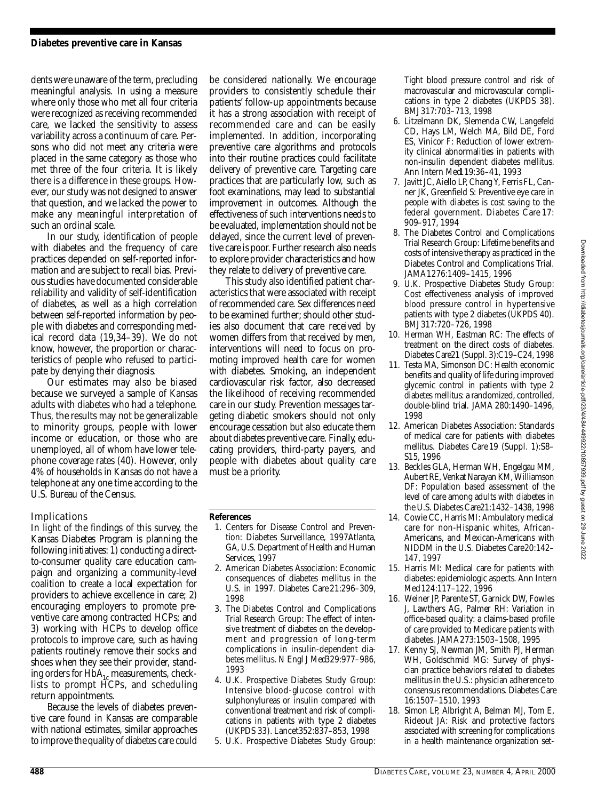dents were unaware of the term, precluding meaningful analysis. In using a measure where only those who met all four criteria were recognized as receiving recommended care, we lacked the sensitivity to assess variability across a continuum of care. Persons who did not meet any criteria were placed in the same category as those who met three of the four criteria. It is likely there is a difference in these groups. However, our study was not designed to answer that question, and we lacked the power to make any meaningful interpretation of such an ordinal scale.

In our study, identification of people with diabetes and the frequency of care practices depended on self-reported information and are subject to recall bias. Previous studies have documented considerable reliability and validity of self-identification of diabetes, as well as a high correlation between self-reported information by people with diabetes and corresponding medical record data  $(19,34-39)$ . We do not know, however, the proportion or characteristics of people who refused to participate by denying their diagnosis.

Our estimates may also be biased because we surveyed a sample of Kansas adults with diabetes who had a telephone. Thus, the results may not be generalizable to minority groups, people with lower income or education, or those who are unemployed, all of whom have lower telephone coverage rates (40). However, only 4% of households in Kansas do not have a telephone at any one time according to the U.S. Bureau of the Census.

#### Implications

In light of the findings of this survey, the Kansas Diabetes Program is planning the following initiatives: 1) conducting a directto-consumer quality care education campaign and organizing a community-level coalition to create a local expectation for p roviders to achieve excellence in care; *2*) encouraging employers to promote preventive care among contracted HCPs; and 3) working with HCPs to develop office p rotocols to improve care, such as having patients routinely remove their socks and shoes when they see their provider, standing orders for  $HbA_{1c}$  measurements, checklists to prompt HCPs, and scheduling return appointments.

Because the levels of diabetes preventive care found in Kansas are comparable with national estimates, similar approaches to improve the quality of diabetes care could be considered nationally. We encourage providers to consistently schedule their patients' follow-up appointments because it has a strong association with receipt of recommended care and can be easily implemented. In addition, incorporating preventive care algorithms and protocols into their routine practices could facilitate delivery of preventive care. Targeting care practices that are particularly low, such as foot examinations, may lead to substantial improvement in outcomes. Although the e ffectiveness of such interventions needs to be evaluated, implementation should not be delayed, since the current level of preventive care is poor. Further research also needs to explore provider characteristics and how they relate to delivery of preventive care.

This study also identified patient characteristics that were associated with receipt of recommended care. Sex differences need to be examined further; should other studies also document that care received by women differs from that received by men, interventions will need to focus on promoting improved health care for women with diabetes. Smoking, an independent cardiovascular risk factor, also decreased the likelihood of receiving recommended care in our study. Prevention messages targeting diabetic smokers should not only encourage cessation but also educate them about diabetes preventive care. Finally, educating providers, third-party payers, and people with diabetes about quality care must be a priority.

**References** 

- 1. Centers for Disease Control and Prevention: Diabetes Surveillance, 1997Atlanta, GA, U.S. Department of Health and Human Services, 1997
- 2 . American Diabetes Association: Economic consequences of diabetes mellitus in the U.S. in 1997. Diabetes Care 21:296-309, 1998
- 3 . The Diabetes Control and Complications Trial Research Group: The effect of intensive treatment of diabetes on the development and progression of long-term complications in insulin-dependent diabetes mellitus. *N Engl J Med329:977-986*, 1993
- 4. U.K. Prospective Diabetes Study Group: Intensive blood-glucose control with sulphonylureas or insulin compared with conventional treatment and risk of complications in patients with type 2 diabetes (UKPDS 33). *L a n c e t*352:837–853, 1998
- 5. U.K. Prospective Diabetes Study Group:

Tight blood pressure control and risk of macrovascular and microvascular complications in type 2 diabetes (UKPDS 38). *B M J* 317:703–713, 1998

- 6 . Litzelmann DK, Slemenda CW, Langefeld CD, Hays LM, Welch MA, Bild DE, Ford ES, Vinicor F: Reduction of lower extremity clinical abnormalities in patients with non-insulin dependent diabetes mellitus. *Ann Intern Med*119:36–41, 1993
- 7 . Javitt JC, Aiello LP, Chang Y, Ferris FL, Canner JK, Greenfield S: Preventive eye care in people with diabetes is cost saving to the federal government. Diabetes Care 17: 909–917, 1994
- 8 . The Diabetes Control and Complications Trial Research Group: Lifetime benefits and costs of intensive therapy as practiced in the Diabetes Control and Complications Trial. *J A M A*1276:1409–1415, 1996
- 9. U.K. Prospective Diabetes Study Group: Cost effectiveness analysis of improved blood pressure control in hypertensive patients with type 2 diabetes (UKPDS 40). *B M J* 317:720–726, 1998
- 10. Herman WH, Eastman RC: The effects of treatment on the direct costs of diabetes. *Diabetes Care*21 (Suppl. 3):C19–C24, 1998
- 11. Testa MA, Simonson DC: Health economic benefits and quality of life during improved glycemic control in patients with type 2 diabetes mellitus: a randomized, controlled, double-blind trial. JAMA 280:1490-1496, 1998
- 12. American Diabetes Association: Standards of medical care for patients with diabetes mellitus. *Diabetes Care* 19 (Suppl. 1):S8– S15, 1996
- 13. Beckles GLA, Herman WH, Engelgau MM, Aubert RE, Venkat Narayan KM, Williamson DF: Population based assessment of the level of care among adults with diabetes in the U.S. *Diabetes Care*21:1432–1438, 1998
- 14. Cowie CC, Harris MI: Ambulatory medical care for non-Hispanic whites, African-Americans, and Mexican-Americans with NIDDM in the U.S. Diabetes Care20:142-147, 1997
- 15. Harris MI: Medical care for patients with diabetes: epidemiologic aspects. *Ann Intern M e d*124:117–122, 1996
- 16. Weiner JP, Parente ST, Garnick DW, Fowles J, Lawthers AG, Palmer RH: Variation in office-based quality: a claims-based profile of care provided to Medicare patients with diabetes. JAMA 273:1503-1508, 1995
- 17. Kenny SJ, Newman JM, Smith PJ, Herman WH, Goldschmid MG: Survey of physician practice behaviors related to diabetes mellitus in the U.S.: physician adherence to consensus recommendations. *Diabetes Care* 16:1507–1510, 1993
- 18. Simon LP, Albright A, Belman MJ, Tom E, Rideout JA: Risk and protective factors associated with screening for complications in a health maintenance organization set-